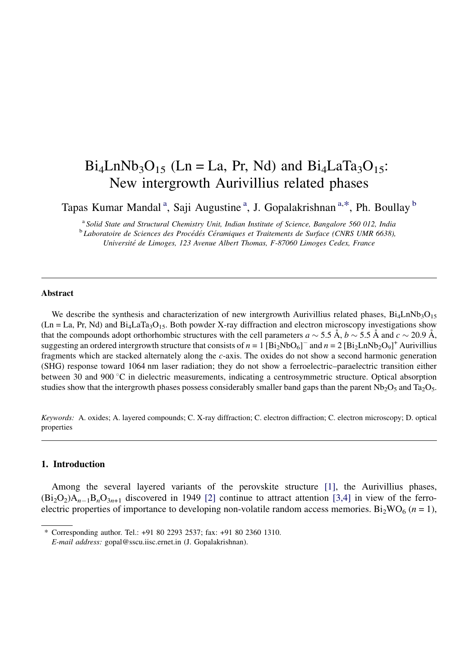# $Bi_4LnNb_3O_{15}$  (Ln = La, Pr, Nd) and  $Bi_4LaTa_3O_{15}$ : New intergrowth Aurivillius related phases

Tapas Kumar Mandal<sup>a</sup>, Saji Augustine<sup>a</sup>, J. Gopalakrishnan<sup>a,\*</sup>, Ph. Boullay<sup>b</sup>

<sup>a</sup> Solid State and Structural Chemistry Unit, Indian Institute of Science, Bangalore 560 012, India<br><sup>b</sup> Laboratoire de Sciences des Procédés Céramiques et Traitements de Surface (CNRS UMR 6638), Université de Limoges, 123 Avenue Albert Thomas, F-87060 Limoges Cedex, France

#### Abstract

We describe the synthesis and characterization of new intergrowth Aurivillius related phases,  $Bi_4LnNb_3O_{15}$  $(Ln = La, Pr, Nd)$  and  $Bi_4LaTa_3O_{15}$ . Both powder X-ray diffraction and electron microscopy investigations show that the compounds adopt orthorhombic structures with the cell parameters  $a \sim 5.5 \text{ Å}$ ,  $b \sim 5.5 \text{ Å}$  and  $c \sim 20.9 \text{ Å}$ , suggesting an ordered intergrowth structure that consists of  $n = 1$  [Bi<sub>2</sub>NbO<sub>6</sub>]<sup>-</sup> and  $n = 2$  [Bi<sub>2</sub>LnNb<sub>2</sub>O<sub>9</sub>]<sup>+</sup> Aurivillius fragments which are stacked alternately along the c-axis. The oxides do not show a second harmonic generation (SHG) response toward 1064 nm laser radiation; they do not show a ferroelectric–paraelectric transition either between 30 and 900  $\degree$ C in dielectric measurements, indicating a centrosymmetric structure. Optical absorption studies show that the intergrowth phases possess considerably smaller band gaps than the parent  $Nb_2O_5$  and  $Ta_2O_5$ .

Keywords: A. oxides; A. layered compounds; C. X-ray diffraction; C. electron diffraction; C. electron microscopy; D. optical properties

## 1. Introduction

Among the several layered variants of the perovskite structure [\[1\]](#page-7-0), the Aurivillius phases,  $(Bi_2O_2)A_{n-1}B_nO_{3n+1}$  discovered in 1949 [\[2\]](#page-7-0) continue to attract attention [\[3,4\]](#page-7-0) in view of the ferroelectric properties of importance to developing non-volatile random access memories. Bi<sub>2</sub>WO<sub>6</sub> ( $n = 1$ ),

<sup>\*</sup> Corresponding author. Tel.: +91 80 2293 2537; fax: +91 80 2360 1310.

E-mail address: gopal@sscu.iisc.ernet.in (J. Gopalakrishnan).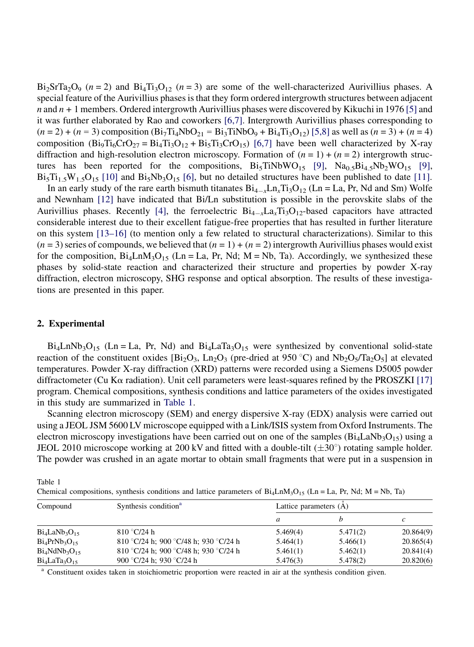<span id="page-1-0"></span> $Bi_2SrTa_2O_9$  ( $n = 2$ ) and  $Bi_4Ti_3O_{12}$  ( $n = 3$ ) are some of the well-characterized Aurivillius phases. A special feature of the Aurivillius phases is that they form ordered intergrowth structures between adjacent  $n$  and  $n + 1$  members. Ordered intergrowth Aurivillius phases were discovered by Kikuchi in 1976 [\[5\]](#page-7-0) and it was further elaborated by Rao and coworkers [\[6,7\]](#page-7-0). Intergrowth Aurivillius phases corresponding to  $(n = 2) + (n = 3)$  composition  $(Bi<sub>7</sub>Ti<sub>4</sub>NbO<sub>21</sub> = Bi<sub>3</sub>TiNbO<sub>9</sub> + Bi<sub>4</sub>Ti<sub>3</sub>O<sub>12</sub>)$  [\[5,8\]](#page-7-0) as well as  $(n = 3) + (n = 4)$ composition (Bi<sub>9</sub>Ti<sub>6</sub>CrO<sub>27</sub> = Bi<sub>4</sub>Ti<sub>3</sub>O<sub>12</sub> + Bi<sub>5</sub>Ti<sub>3</sub>CrO<sub>15</sub>) [\[6,7\]](#page-7-0) have been well characterized by X-ray diffraction and high-resolution electron microscopy. Formation of  $(n = 1) + (n = 2)$  intergrowth structures has been reported for the compositions,  $Bi_5TiNbWO_{15}$  [\[9\],](#page-7-0)  $Na_{0.5}Bi_{4.5}Nb_2WO_{15}$  [\[9\]](#page-7-0),  $Bi_5Ti_{1.5}W_{1.5}O_{15}$  [\[10\]](#page-7-0) and  $Bi_5Nb_3O_{15}$  [\[6\],](#page-7-0) but no detailed structures have been published to date [\[11\].](#page-7-0)

In an early study of the rare earth bismuth titanates  $Bi_{4-x}Ln_xTi_3O_{12}$  (Ln = La, Pr, Nd and Sm) Wolfe and Newnham [\[12\]](#page-7-0) have indicated that Bi/Ln substitution is possible in the perovskite slabs of the Aurivillius phases. Recently [\[4\],](#page-7-0) the ferroelectric  $Bi_{4-x}La_xTi_3O_{12}$ -based capacitors have attracted considerable interest due to their excellent fatigue-free properties that has resulted in further literature on this system [\[13–16\]](#page-7-0) (to mention only a few related to structural characterizations). Similar to this  $(n = 3)$  series of compounds, we believed that  $(n = 1) + (n = 2)$  intergrowth Aurivillius phases would exist for the composition,  $Bi_4LnM_3O_{15}$  (Ln = La, Pr, Nd; M = Nb, Ta). Accordingly, we synthesized these phases by solid-state reaction and characterized their structure and properties by powder X-ray diffraction, electron microscopy, SHG response and optical absorption. The results of these investigations are presented in this paper.

# 2. Experimental

 $Bi_4LnNb_3O_{15}$  (Ln = La, Pr, Nd) and  $Bi_4LaTa_3O_{15}$  were synthesized by conventional solid-state reaction of the constituent oxides  $[Bi_2O_3, Ln_2O_3]$  (pre-dried at 950 °C) and Nb<sub>2</sub>O<sub>5</sub>/Ta<sub>2</sub>O<sub>5</sub>] at elevated temperatures. Powder X-ray diffraction (XRD) patterns were recorded using a Siemens D5005 powder diffractometer (Cu K $\alpha$  radiation). Unit cell parameters were least-squares refined by the PROSZKI [\[17\]](#page-7-0) program. Chemical compositions, synthesis conditions and lattice parameters of the oxides investigated in this study are summarized in Table 1.

Scanning electron microscopy (SEM) and energy dispersive X-ray (EDX) analysis were carried out using a JEOL JSM 5600 LV microscope equipped with a Link/ISIS system from Oxford Instruments. The electron microscopy investigations have been carried out on one of the samples  $(B_i_4LaNb_3O_{15})$  using a JEOL 2010 microscope working at 200 kV and fitted with a double-tilt  $(\pm 30^{\circ})$  rotating sample holder. The powder was crushed in an agate mortar to obtain small fragments that were put in a suspension in

| Table 1                                                                                                               |  |
|-----------------------------------------------------------------------------------------------------------------------|--|
| Chemical compositions, synthesis conditions and lattice parameters of $Bi_4LnM_3O_{15}$ (Ln = La, Pr, Nd; M = Nb, Ta) |  |

| Compound           | Synthesis condition <sup>a</sup>      | Lattice parameters (A) |          |           |
|--------------------|---------------------------------------|------------------------|----------|-----------|
|                    |                                       | a                      |          | с         |
| $Bi_4LaNb_3O_{15}$ | 810 °C/24 h                           | 5.469(4)               | 5.471(2) | 20.864(9) |
| $Bi_4PrNb_3O_{15}$ | 810 °C/24 h; 900 °C/48 h; 930 °C/24 h | 5.464(1)               | 5.466(1) | 20.865(4) |
| $Bi_4NdNb_3O_{15}$ | 810 °C/24 h; 900 °C/48 h; 930 °C/24 h | 5.461(1)               | 5.462(1) | 20.841(4) |
| $Bi_4LaTa_3O_{15}$ | 900 °C/24 h; 930 °C/24 h              | 5.476(3)               | 5.478(2) | 20.820(6) |

Constituent oxides taken in stoichiometric proportion were reacted in air at the synthesis condition given.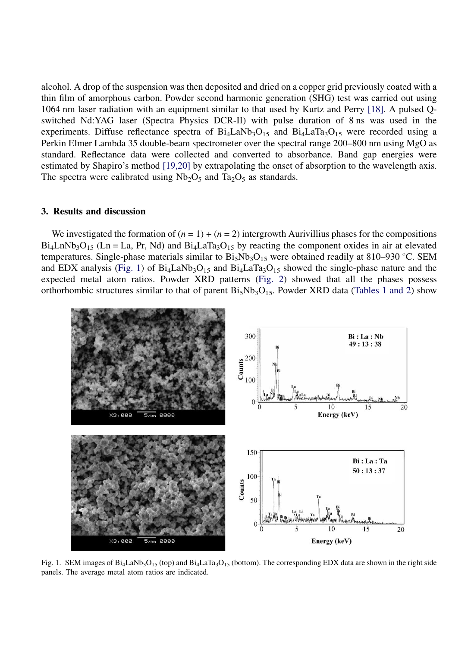alcohol. A drop of the suspension was then deposited and dried on a copper grid previously coated with a thin film of amorphous carbon. Powder second harmonic generation (SHG) test was carried out using 1064 nm laser radiation with an equipment similar to that used by Kurtz and Perry [\[18\].](#page-7-0) A pulsed Qswitched Nd:YAG laser (Spectra Physics DCR-II) with pulse duration of 8 ns was used in the experiments. Diffuse reflectance spectra of  $Bi<sub>4</sub>LaNb<sub>3</sub>O<sub>15</sub>$  and  $Bi<sub>4</sub>LaTa<sub>3</sub>O<sub>15</sub>$  were recorded using a Perkin Elmer Lambda 35 double-beam spectrometer over the spectral range 200–800 nm using MgO as standard. Reflectance data were collected and converted to absorbance. Band gap energies were estimated by Shapiro's method [\[19,20\]](#page-7-0) by extrapolating the onset of absorption to the wavelength axis. The spectra were calibrated using  $Nb<sub>2</sub>O<sub>5</sub>$  and Ta<sub>2</sub>O<sub>5</sub> as standards.

#### 3. Results and discussion

We investigated the formation of  $(n = 1) + (n = 2)$  intergrowth Aurivillius phases for the compositions  $Bi_4LnNb_3O_{15}$  (Ln = La, Pr, Nd) and  $Bi_4LaTa_3O_{15}$  by reacting the component oxides in air at elevated temperatures. Single-phase materials similar to  $Bi_5Nb_3O_{15}$  were obtained readily at 810–930 °C. SEM and EDX analysis (Fig. 1) of  $Bi_4LaNb_3O_{15}$  and  $Bi_4LaTa_3O_{15}$  showed the single-phase nature and the expected metal atom ratios. Powder XRD patterns ([Fig. 2\)](#page-3-0) showed that all the phases possess orthorhombic structures similar to that of parent  $Bi_5Nb_3O_{15}$ . Powder XRD data ([Tables 1 and 2](#page-1-0)) show



Fig. 1. SEM images of  $Bi_4LaNb_3O_{15}$  (top) and  $Bi_4LaTa_3O_{15}$  (bottom). The corresponding EDX data are shown in the right side panels. The average metal atom ratios are indicated.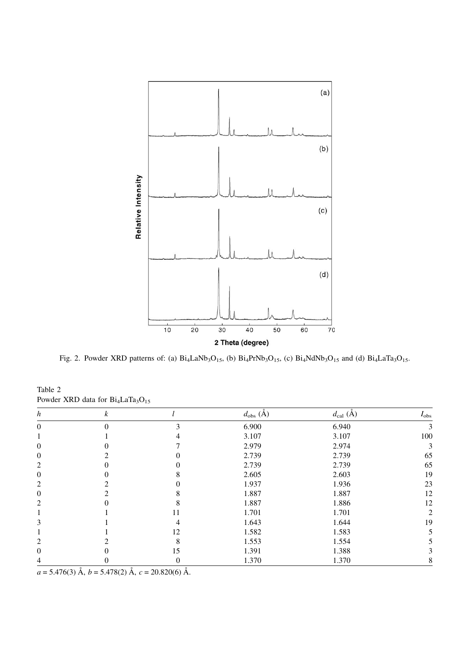<span id="page-3-0"></span>

Fig. 2. Powder XRD patterns of: (a)  $Bi_4LaNb_3O_{15}$ , (b)  $Bi_4PrNb_3O_{15}$ , (c)  $Bi_4NdNb_3O_{15}$  and (d)  $Bi_4LaTa_3O_{15}$ .

| h              | k |                  | $d_{\text{obs}}(\check{A})$ | $d_{\text{cal}}(\AA)$ | $I_{\rm obs}$ |
|----------------|---|------------------|-----------------------------|-----------------------|---------------|
| $\theta$       |   | 3                | 6.900                       | 6.940                 | 3             |
|                |   |                  | 3.107                       | 3.107                 | 100           |
| $\overline{0}$ |   |                  | 2.979                       | 2.974                 | 3             |
| 0              |   |                  | 2.739                       | 2.739                 | 65            |
| 2              |   |                  | 2.739                       | 2.739                 | 65            |
| 0              |   |                  | 2.605                       | 2.603                 | 19            |
| 2              |   |                  | 1.937                       | 1.936                 | 23            |
| 0              |   |                  | 1.887                       | 1.887                 | 12            |
| 2              |   |                  | 1.887                       | 1.886                 | 12            |
|                |   | 11               | 1.701                       | 1.701                 | 2             |
| 3              |   | 4                | 1.643                       | 1.644                 | 19            |
|                |   | 12               | 1.582                       | 1.583                 |               |
| 2              |   | 8                | 1.553                       | 1.554                 |               |
| 0              |   | 15               | 1.391                       | 1.388                 |               |
| 4              | O | $\boldsymbol{0}$ | 1.370                       | 1.370                 | 8             |

Table 2 Powder XRD data for  $Bi<sub>4</sub>LaTa<sub>3</sub>O<sub>15</sub>$ 

 $a = 5.476(3)$  Å,  $b = 5.478(2)$  Å,  $c = 20.820(6)$  Å.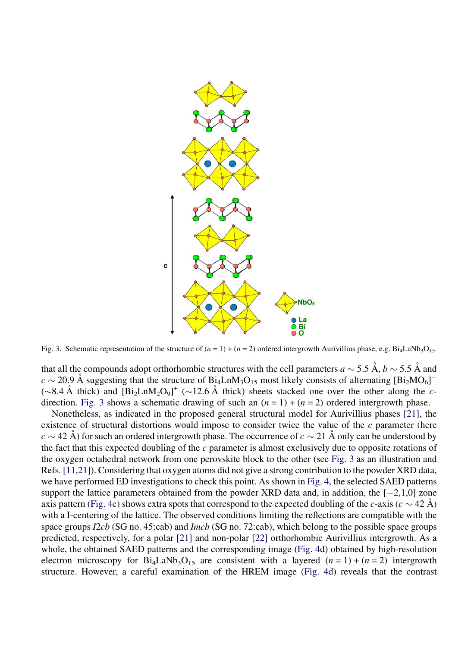

Fig. 3. Schematic representation of the structure of  $(n = 1) + (n = 2)$  ordered intergrowth Aurivillius phase, e.g. Bi<sub>4</sub>LaNb<sub>3</sub>O<sub>15</sub>.

that all the compounds adopt orthorhombic structures with the cell parameters  $a \sim 5.5 \text{ Å}$ ,  $b \sim 5.5 \text{ Å}$  and  $c \sim 20.9$  Å suggesting that the structure of B<sub>14</sub>LnM<sub>3</sub>O<sub>15</sub> most likely consists of alternating [Bi<sub>2</sub>MO<sub>6</sub>]<sup>-</sup>  $(\sim 8.4 \text{ Å}$  thick) and  $[\text{Bi}_2\text{LnM}_2\text{O}_9]^+$  ( $\sim 12.6 \text{ Å}$  thick) sheets stacked one over the other along the cdirection. Fig. 3 shows a schematic drawing of such an  $(n = 1) + (n = 2)$  ordered intergrowth phase.

Nonetheless, as indicated in the proposed general structural model for Aurivillius phases [\[21\],](#page-7-0) the existence of structural distortions would impose to consider twice the value of the  $c$  parameter (here  $c \sim 42$  Å) for such an ordered intergrowth phase. The occurrence of  $c \sim 21$  Å only can be understood by the fact that this expected doubling of the  $c$  parameter is almost exclusively due to opposite rotations of the oxygen octahedral network from one perovskite block to the other (see Fig. 3 as an illustration and Refs. [\[11,21\]](#page-7-0)). Considering that oxygen atoms did not give a strong contribution to the powder XRD data, we have performed ED investigations to check this point. As shown in [Fig. 4,](#page-5-0) the selected SAED patterns support the lattice parameters obtained from the powder XRD data and, in addition, the  $[-2,1,0]$  zone axis pattern [\(Fig. 4](#page-5-0)c) shows extra spots that correspond to the expected doubling of the c-axis ( $c \sim 42 \text{ Å}$ ) with a I-centering of the lattice. The observed conditions limiting the reflections are compatible with the space groups I2cb (SG no. 45:cab) and Imcb (SG no. 72:cab), which belong to the possible space groups predicted, respectively, for a polar [\[21\]](#page-7-0) and non-polar [\[22\]](#page-7-0) orthorhombic Aurivillius intergrowth. As a whole, the obtained SAED patterns and the corresponding image ([Fig. 4d](#page-5-0)) obtained by high-resolution electron microscopy for  $Bi_4LaNb_3O_{15}$  are consistent with a layered  $(n = 1) + (n = 2)$  intergrowth structure. However, a careful examination of the HREM image ([Fig. 4](#page-5-0)d) reveals that the contrast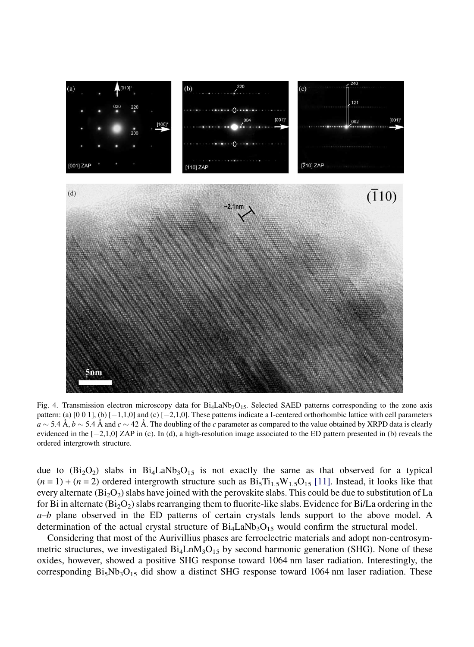<span id="page-5-0"></span>

Fig. 4. Transmission electron microscopy data for  $Bi_4LaNb_3O_{15}$ . Selected SAED patterns corresponding to the zone axis pattern: (a) [0 0 1], (b) [-1,1,0] and (c) [-2,1,0]. These patterns indicate a I-centered orthorhombic lattice with cell parameters  $a \sim 5.4$  Å,  $b \sim 5.4$  Å and  $c \sim 42$  Å. The doubling of the c parameter as compared to the value obtained by XRPD data is clearly evidenced in the  $[-2,1,0]$  ZAP in (c). In (d), a high-resolution image associated to the ED pattern presented in (b) reveals the ordered intergrowth structure.

due to  $(Bi<sub>2</sub>O<sub>2</sub>)$  slabs in  $Bi<sub>4</sub>LaNb<sub>3</sub>O<sub>15</sub>$  is not exactly the same as that observed for a typical  $(n = 1) + (n = 2)$  ordered intergrowth structure such as  $Bi_5Ti_{1.5}W_{1.5}O_{15}$  [\[11\]](#page-7-0). Instead, it looks like that every alternate  $(Bi<sub>2</sub>O<sub>2</sub>)$  slabs have joined with the perovskite slabs. This could be due to substitution of La for Bi in alternate  $(Bi<sub>2</sub>O<sub>2</sub>)$  slabs rearranging them to fluorite-like slabs. Evidence for Bi/La ordering in the  $a-b$  plane observed in the ED patterns of certain crystals lends support to the above model. A determination of the actual crystal structure of  $Bi<sub>4</sub>LaNb<sub>3</sub>O<sub>15</sub>$  would confirm the structural model.

Considering that most of the Aurivillius phases are ferroelectric materials and adopt non-centrosymmetric structures, we investigated  $Bi_4LnM_3O_{15}$  by second harmonic generation (SHG). None of these oxides, however, showed a positive SHG response toward 1064 nm laser radiation. Interestingly, the corresponding  $Bi_5Nb_3O_{15}$  did show a distinct SHG response toward 1064 nm laser radiation. These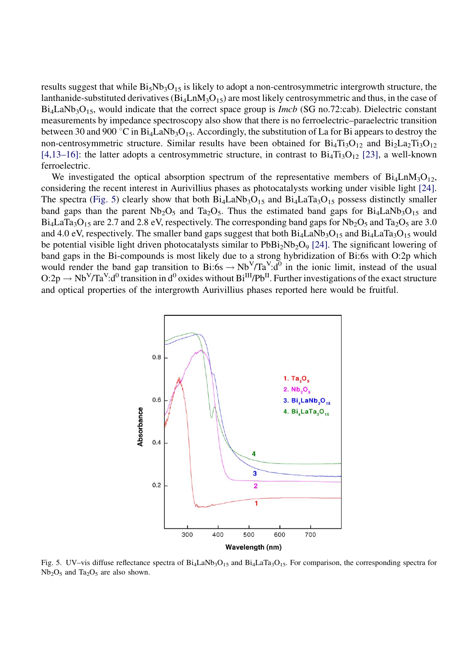results suggest that while  $Bi_5Nb_3O_{15}$  is likely to adopt a non-centrosymmetric intergrowth structure, the lanthanide-substituted derivatives  $(Bi_4LnM_3O_{15})$  are most likely centrosymmetric and thus, in the case of  $Bi<sub>4</sub>LaNb<sub>3</sub>O<sub>15</sub>$ , would indicate that the correct space group is *Imcb* (SG no.72:cab). Dielectric constant measurements by impedance spectroscopy also show that there is no ferroelectric–paraelectric transition between 30 and 900 °C in Bi<sub>4</sub>LaNb<sub>3</sub>O<sub>15</sub>. Accordingly, the substitution of La for Bi appears to destroy the non-centrosymmetric structure. Similar results have been obtained for  $Bi_4Ti_3O_{12}$  and  $Bi_2La_2Ti_3O_{12}$ [\[4,13–16\]](#page-7-0): the latter adopts a centrosymmetric structure, in contrast to  $Bi<sub>4</sub>Ti<sub>3</sub>O<sub>12</sub>$  [\[23\]](#page-7-0), a well-known ferroelectric.

We investigated the optical absorption spectrum of the representative members of  $Bi_4LnM_3O_{12}$ , considering the recent interest in Aurivillius phases as photocatalysts working under visible light [\[24\]](#page-7-0). The spectra (Fig. 5) clearly show that both  $Bi_4LaNb_3O_{15}$  and  $Bi_4LaTa_3O_{15}$  possess distinctly smaller band gaps than the parent  $Nb_2O_5$  and  $Ta_2O_5$ . Thus the estimated band gaps for  $Bi_4LaNb_3O_{15}$  and  $Bi_4LaTa_3O_{15}$  are 2.7 and 2.8 eV, respectively. The corresponding band gaps for Nb<sub>2</sub>O<sub>5</sub> and Ta<sub>2</sub>O<sub>5</sub> are 3.0 and 4.0 eV, respectively. The smaller band gaps suggest that both  $Bi_4LaNb_3O_{15}$  and  $Bi_4LaTa_3O_{15}$  would be potential visible light driven photocatalysts similar to  $PbBi_2Nb_2O_9$  [\[24\]](#page-7-0). The significant lowering of band gaps in the Bi-compounds is most likely due to a strong hybridization of Bi:6s with O:2p which would render the band gap transition to  $Bi:6s \to Nb<sup>V</sup>/Ta<sup>V</sup>:d<sup>0</sup>$  in the ionic limit, instead of the usual  $O:2p \to Nb<sup>V</sup>/Ta<sup>V</sup>:d<sup>0</sup>$  transition in  $d<sup>0</sup>$  oxides without  $Bi<sup>III</sup>/Pb<sup>II</sup>$ . Further investigations of the exact structure and optical properties of the intergrowth Aurivillius phases reported here would be fruitful.



Fig. 5. UV–vis diffuse reflectance spectra of  $Bi_4LaNb_3O_{15}$  and  $Bi_4LaTa_3O_{15}$ . For comparison, the corresponding spectra for  $Nb_2O_5$  and  $Ta_2O_5$  are also shown.